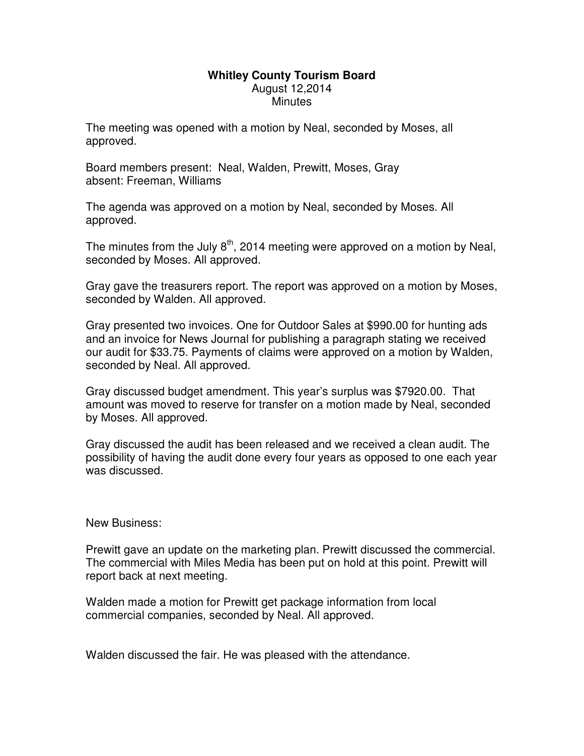## **Whitley County Tourism Board**  August 12,2014 **Minutes**

The meeting was opened with a motion by Neal, seconded by Moses, all approved.

Board members present: Neal, Walden, Prewitt, Moses, Gray absent: Freeman, Williams

The agenda was approved on a motion by Neal, seconded by Moses. All approved.

The minutes from the July  $8<sup>th</sup>$ , 2014 meeting were approved on a motion by Neal, seconded by Moses. All approved.

Gray gave the treasurers report. The report was approved on a motion by Moses, seconded by Walden. All approved.

Gray presented two invoices. One for Outdoor Sales at \$990.00 for hunting ads and an invoice for News Journal for publishing a paragraph stating we received our audit for \$33.75. Payments of claims were approved on a motion by Walden, seconded by Neal. All approved.

Gray discussed budget amendment. This year's surplus was \$7920.00. That amount was moved to reserve for transfer on a motion made by Neal, seconded by Moses. All approved.

Gray discussed the audit has been released and we received a clean audit. The possibility of having the audit done every four years as opposed to one each year was discussed.

New Business:

Prewitt gave an update on the marketing plan. Prewitt discussed the commercial. The commercial with Miles Media has been put on hold at this point. Prewitt will report back at next meeting.

Walden made a motion for Prewitt get package information from local commercial companies, seconded by Neal. All approved.

Walden discussed the fair. He was pleased with the attendance.